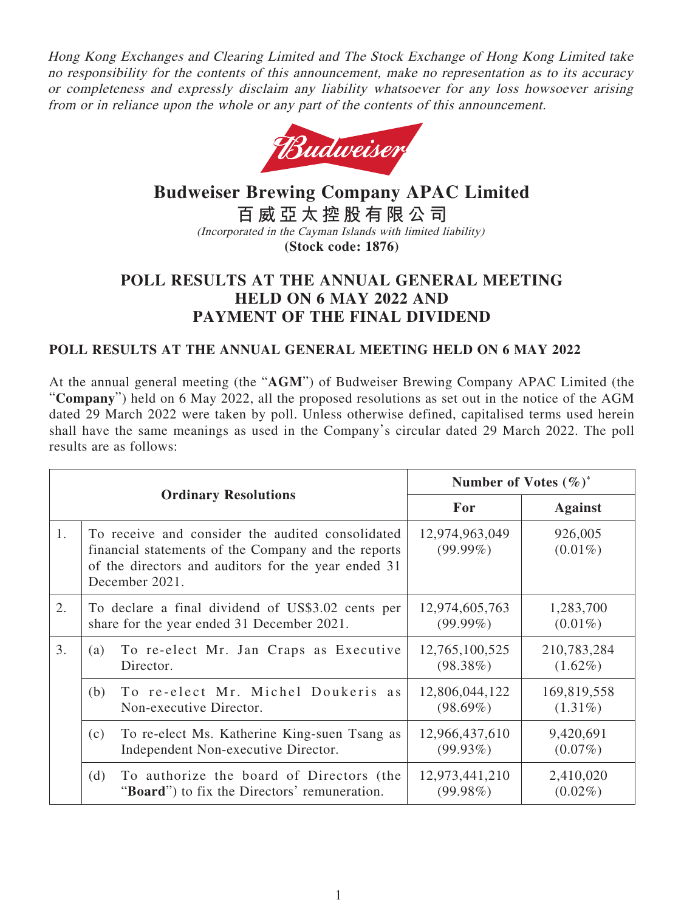Hong Kong Exchanges and Clearing Limited and The Stock Exchange of Hong Kong Limited take no responsibility for the contents of this announcement, make no representation as to its accuracy or completeness and expressly disclaim any liability whatsoever for any loss howsoever arising from or in reliance upon the whole or any part of the contents of this announcement.



# **Budweiser Brewing Company APAC Limited 百威亞太控股有限公司**

(Incorporated in the Cayman Islands with limited liability)

**(Stock code: 1876)**

# **POLL RESULTS AT THE ANNUAL GENERAL MEETING HELD ON 6 MAY 2022 AND PAYMENT OF THE FINAL DIVIDEND**

## **POLL RESULTS AT THE ANNUAL GENERAL MEETING HELD ON 6 MAY 2022**

At the annual general meeting (the "**AGM**") of Budweiser Brewing Company APAC Limited (the "**Company**") held on 6 May 2022, all the proposed resolutions as set out in the notice of the AGM dated 29 March 2022 were taken by poll. Unless otherwise defined, capitalised terms used herein shall have the same meanings as used in the Company's circular dated 29 March 2022. The poll results are as follows:

| <b>Ordinary Resolutions</b> |                                                                                                                                                                                  | Number of Votes $(\%)^*$      |                           |
|-----------------------------|----------------------------------------------------------------------------------------------------------------------------------------------------------------------------------|-------------------------------|---------------------------|
|                             |                                                                                                                                                                                  | For                           | <b>Against</b>            |
| 1.                          | To receive and consider the audited consolidated<br>financial statements of the Company and the reports<br>of the directors and auditors for the year ended 31<br>December 2021. | 12,974,963,049<br>$(99.99\%)$ | 926,005<br>$(0.01\%)$     |
| 2.                          | To declare a final dividend of US\$3.02 cents per<br>share for the year ended 31 December 2021.                                                                                  | 12,974,605,763<br>$(99.99\%)$ | 1,283,700<br>$(0.01\%)$   |
| 3.                          | To re-elect Mr. Jan Craps as Executive<br>(a)<br>Director.                                                                                                                       | 12,765,100,525<br>$(98.38\%)$ | 210,783,284<br>$(1.62\%)$ |
|                             | To re-elect Mr. Michel Doukeris as<br>(b)<br>Non-executive Director.                                                                                                             | 12,806,044,122<br>$(98.69\%)$ | 169,819,558<br>$(1.31\%)$ |
|                             | To re-elect Ms. Katherine King-suen Tsang as<br>(c)<br>Independent Non-executive Director.                                                                                       | 12,966,437,610<br>$(99.93\%)$ | 9,420,691<br>$(0.07\%)$   |
|                             | (d)<br>To authorize the board of Directors (the<br>" <b>Board</b> ") to fix the Directors' remuneration.                                                                         | 12,973,441,210<br>$(99.98\%)$ | 2,410,020<br>$(0.02\%)$   |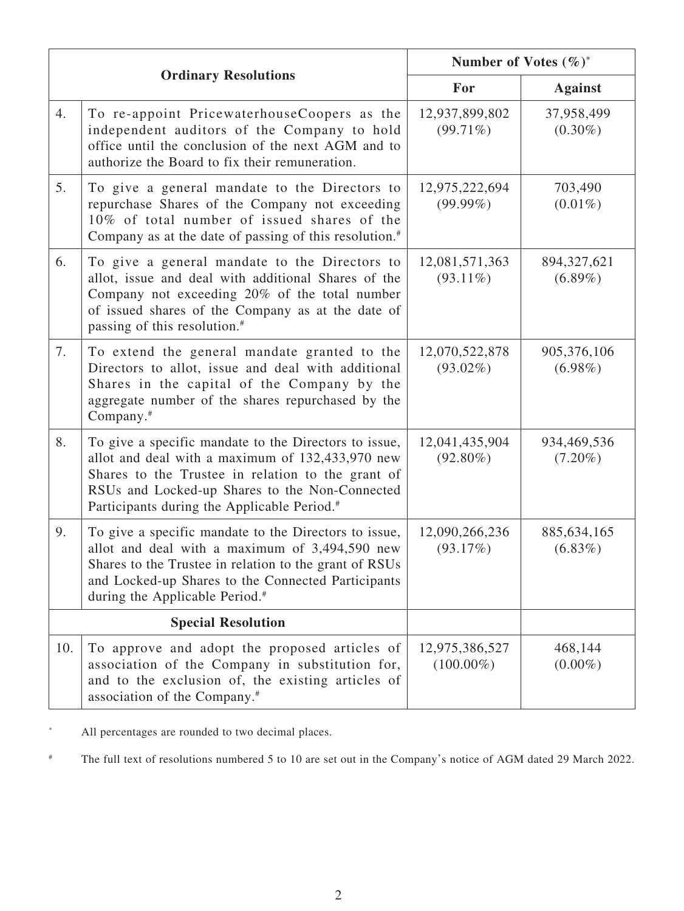| <b>Ordinary Resolutions</b> |                                                                                                                                                                                                                                                                             | Number of Votes $(\%)^*$       |                             |
|-----------------------------|-----------------------------------------------------------------------------------------------------------------------------------------------------------------------------------------------------------------------------------------------------------------------------|--------------------------------|-----------------------------|
|                             |                                                                                                                                                                                                                                                                             | For                            | <b>Against</b>              |
| 4.                          | To re-appoint PricewaterhouseCoopers as the<br>independent auditors of the Company to hold<br>office until the conclusion of the next AGM and to<br>authorize the Board to fix their remuneration.                                                                          | 12,937,899,802<br>$(99.71\%)$  | 37,958,499<br>$(0.30\%)$    |
| 5.                          | To give a general mandate to the Directors to<br>repurchase Shares of the Company not exceeding<br>10% of total number of issued shares of the<br>Company as at the date of passing of this resolution. <sup>#</sup>                                                        | 12,975,222,694<br>$(99.99\%)$  | 703,490<br>$(0.01\%)$       |
| 6.                          | To give a general mandate to the Directors to<br>allot, issue and deal with additional Shares of the<br>Company not exceeding 20% of the total number<br>of issued shares of the Company as at the date of<br>passing of this resolution. <sup>#</sup>                      | 12,081,571,363<br>$(93.11\%)$  | 894, 327, 621<br>$(6.89\%)$ |
| 7.                          | To extend the general mandate granted to the<br>Directors to allot, issue and deal with additional<br>Shares in the capital of the Company by the<br>aggregate number of the shares repurchased by the<br>Company. <sup>#</sup>                                             | 12,070,522,878<br>$(93.02\%)$  | 905,376,106<br>$(6.98\%)$   |
| 8.                          | To give a specific mandate to the Directors to issue,<br>allot and deal with a maximum of 132,433,970 new<br>Shares to the Trustee in relation to the grant of<br>RSUs and Locked-up Shares to the Non-Connected<br>Participants during the Applicable Period. <sup>#</sup> | 12,041,435,904<br>$(92.80\%)$  | 934,469,536<br>$(7.20\%)$   |
| 9.                          | To give a specific mandate to the Directors to issue,<br>allot and deal with a maximum of 3,494,590 new<br>Shares to the Trustee in relation to the grant of RSUs<br>and Locked-up Shares to the Connected Participants<br>during the Applicable Period. <sup>#</sup>       | 12,090,266,236<br>(93.17%)     | 885, 634, 165<br>$(6.83\%)$ |
| <b>Special Resolution</b>   |                                                                                                                                                                                                                                                                             |                                |                             |
| 10.                         | To approve and adopt the proposed articles of<br>association of the Company in substitution for,<br>and to the exclusion of, the existing articles of<br>association of the Company. <sup>#</sup>                                                                           | 12,975,386,527<br>$(100.00\%)$ | 468,144<br>$(0.00\%)$       |

\* All percentages are rounded to two decimal places.

# The full text of resolutions numbered 5 to 10 are set out in the Company's notice of AGM dated 29 March 2022.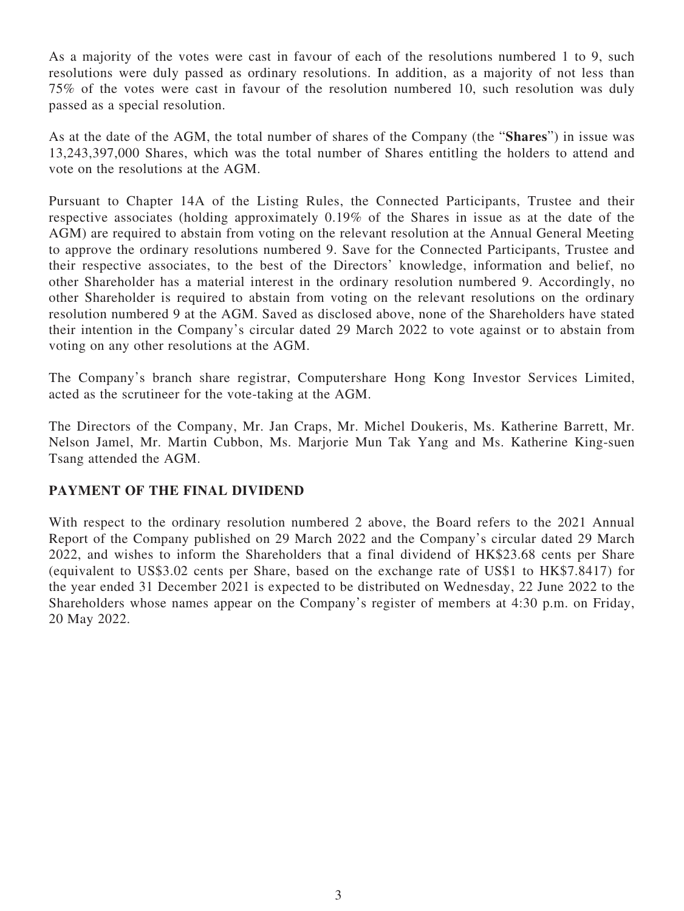As a majority of the votes were cast in favour of each of the resolutions numbered 1 to 9, such resolutions were duly passed as ordinary resolutions. In addition, as a majority of not less than 75% of the votes were cast in favour of the resolution numbered 10, such resolution was duly passed as a special resolution.

As at the date of the AGM, the total number of shares of the Company (the "**Shares**") in issue was 13,243,397,000 Shares, which was the total number of Shares entitling the holders to attend and vote on the resolutions at the AGM.

Pursuant to Chapter 14A of the Listing Rules, the Connected Participants, Trustee and their respective associates (holding approximately 0.19% of the Shares in issue as at the date of the AGM) are required to abstain from voting on the relevant resolution at the Annual General Meeting to approve the ordinary resolutions numbered 9. Save for the Connected Participants, Trustee and their respective associates, to the best of the Directors' knowledge, information and belief, no other Shareholder has a material interest in the ordinary resolution numbered 9. Accordingly, no other Shareholder is required to abstain from voting on the relevant resolutions on the ordinary resolution numbered 9 at the AGM. Saved as disclosed above, none of the Shareholders have stated their intention in the Company's circular dated 29 March 2022 to vote against or to abstain from voting on any other resolutions at the AGM.

The Company's branch share registrar, Computershare Hong Kong Investor Services Limited, acted as the scrutineer for the vote-taking at the AGM.

The Directors of the Company, Mr. Jan Craps, Mr. Michel Doukeris, Ms. Katherine Barrett, Mr. Nelson Jamel, Mr. Martin Cubbon, Ms. Marjorie Mun Tak Yang and Ms. Katherine King-suen Tsang attended the AGM.

### **PAYMENT OF THE FINAL DIVIDEND**

With respect to the ordinary resolution numbered 2 above, the Board refers to the 2021 Annual Report of the Company published on 29 March 2022 and the Company's circular dated 29 March 2022, and wishes to inform the Shareholders that a final dividend of HK\$23.68 cents per Share (equivalent to US\$3.02 cents per Share, based on the exchange rate of US\$1 to HK\$7.8417) for the year ended 31 December 2021 is expected to be distributed on Wednesday, 22 June 2022 to the Shareholders whose names appear on the Company's register of members at 4:30 p.m. on Friday, 20 May 2022.